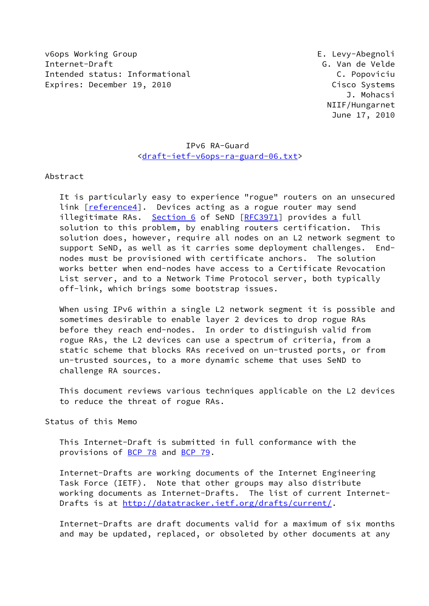v6ops Working Group E. Levy-Abegnoli Internet-Draft G. Van de Velde Intended status: Informational C. Popoviciu Expires: December 19, 2010 Cisco Systems

 J. Mohacsi NIIF/Hungarnet June 17, 2010

# IPv6 RA-Guard [<draft-ietf-v6ops-ra-guard-06.txt](https://datatracker.ietf.org/doc/pdf/draft-ietf-v6ops-ra-guard-06.txt)>

Abstract

 It is particularly easy to experience "rogue" routers on an unsecured link [\[reference4\]](#page-9-0). Devices acting as a rogue router may send illegitimate RAs. [Section 6](#page-8-0) of SeND [\[RFC3971](https://datatracker.ietf.org/doc/pdf/rfc3971)] provides a full solution to this problem, by enabling routers certification. This solution does, however, require all nodes on an L2 network segment to support SeND, as well as it carries some deployment challenges. End nodes must be provisioned with certificate anchors. The solution works better when end-nodes have access to a Certificate Revocation List server, and to a Network Time Protocol server, both typically off-link, which brings some bootstrap issues.

When using IPv6 within a single L2 network segment it is possible and sometimes desirable to enable layer 2 devices to drop rogue RAs before they reach end-nodes. In order to distinguish valid from rogue RAs, the L2 devices can use a spectrum of criteria, from a static scheme that blocks RAs received on un-trusted ports, or from un-trusted sources, to a more dynamic scheme that uses SeND to challenge RA sources.

 This document reviews various techniques applicable on the L2 devices to reduce the threat of rogue RAs.

Status of this Memo

 This Internet-Draft is submitted in full conformance with the provisions of [BCP 78](https://datatracker.ietf.org/doc/pdf/bcp78) and [BCP 79](https://datatracker.ietf.org/doc/pdf/bcp79).

 Internet-Drafts are working documents of the Internet Engineering Task Force (IETF). Note that other groups may also distribute working documents as Internet-Drafts. The list of current Internet- Drafts is at<http://datatracker.ietf.org/drafts/current/>.

 Internet-Drafts are draft documents valid for a maximum of six months and may be updated, replaced, or obsoleted by other documents at any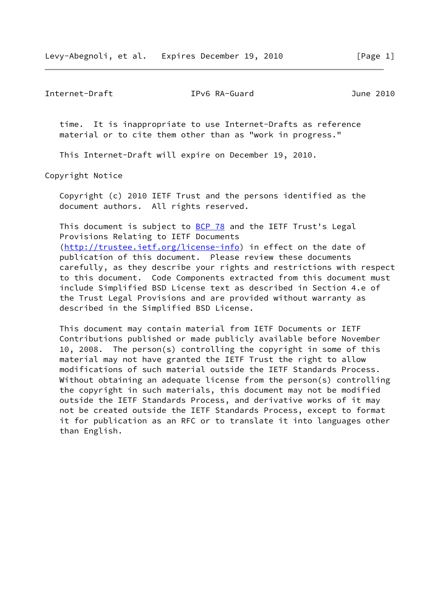Internet-Draft IPv6 RA-Guard June 2010

 time. It is inappropriate to use Internet-Drafts as reference material or to cite them other than as "work in progress."

This Internet-Draft will expire on December 19, 2010.

Copyright Notice

 Copyright (c) 2010 IETF Trust and the persons identified as the document authors. All rights reserved.

This document is subject to **[BCP 78](https://datatracker.ietf.org/doc/pdf/bcp78)** and the IETF Trust's Legal Provisions Relating to IETF Documents [\(http://trustee.ietf.org/license-info](http://trustee.ietf.org/license-info)) in effect on the date of publication of this document. Please review these documents carefully, as they describe your rights and restrictions with respect to this document. Code Components extracted from this document must include Simplified BSD License text as described in Section 4.e of the Trust Legal Provisions and are provided without warranty as described in the Simplified BSD License.

 This document may contain material from IETF Documents or IETF Contributions published or made publicly available before November 10, 2008. The person(s) controlling the copyright in some of this material may not have granted the IETF Trust the right to allow modifications of such material outside the IETF Standards Process. Without obtaining an adequate license from the person(s) controlling the copyright in such materials, this document may not be modified outside the IETF Standards Process, and derivative works of it may not be created outside the IETF Standards Process, except to format it for publication as an RFC or to translate it into languages other than English.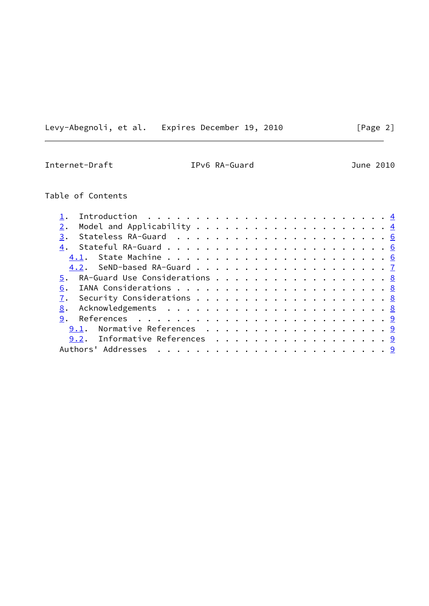Levy-Abegnoli, et al. Expires December 19, 2010 [Page 2]

Internet-Draft IPv6 RA-Guard June 2010

# Table of Contents

| 3.                                  |  |  |  |  |  |  |
|-------------------------------------|--|--|--|--|--|--|
|                                     |  |  |  |  |  |  |
|                                     |  |  |  |  |  |  |
|                                     |  |  |  |  |  |  |
| RA-Guard Use Considerations 8<br>5. |  |  |  |  |  |  |
| 6.                                  |  |  |  |  |  |  |
| Security Considerations $\cdots$ 8  |  |  |  |  |  |  |
| 8.                                  |  |  |  |  |  |  |
|                                     |  |  |  |  |  |  |
| 9.1. Normative References 9         |  |  |  |  |  |  |
| 9.2. Informative References 9       |  |  |  |  |  |  |
|                                     |  |  |  |  |  |  |
|                                     |  |  |  |  |  |  |

# $\overline{\phantom{0}}$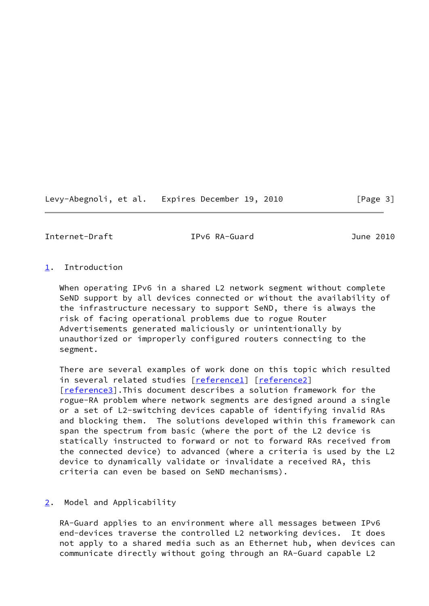Levy-Abegnoli, et al. Expires December 19, 2010 [Page 3]

<span id="page-3-1"></span>Internet-Draft IPv6 RA-Guard June 2010

# <span id="page-3-0"></span>[1](#page-3-0). Introduction

 When operating IPv6 in a shared L2 network segment without complete SeND support by all devices connected or without the availability of the infrastructure necessary to support SeND, there is always the risk of facing operational problems due to rogue Router Advertisements generated maliciously or unintentionally by unauthorized or improperly configured routers connecting to the segment.

 There are several examples of work done on this topic which resulted in several related studies [[reference1\]](#page-9-5) [\[reference2\]](#page-9-6) [\[reference3\]](#page-9-7).This document describes a solution framework for the rogue-RA problem where network segments are designed around a single or a set of L2-switching devices capable of identifying invalid RAs and blocking them. The solutions developed within this framework can span the spectrum from basic (where the port of the L2 device is statically instructed to forward or not to forward RAs received from the connected device) to advanced (where a criteria is used by the L2 device to dynamically validate or invalidate a received RA, this criteria can even be based on SeND mechanisms).

# <span id="page-3-2"></span>[2](#page-3-2). Model and Applicability

 RA-Guard applies to an environment where all messages between IPv6 end-devices traverse the controlled L2 networking devices. It does not apply to a shared media such as an Ethernet hub, when devices can communicate directly without going through an RA-Guard capable L2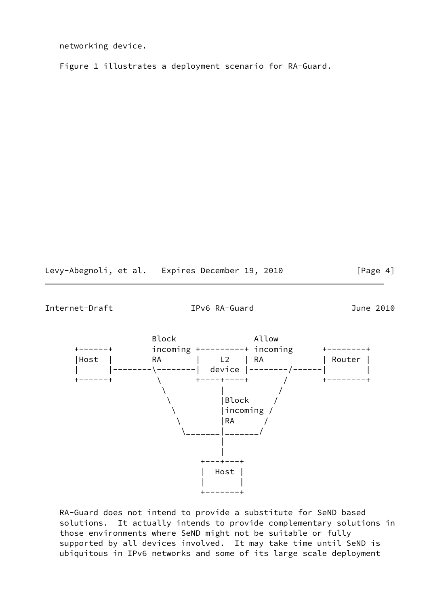networking device.

Figure 1 illustrates a deployment scenario for RA-Guard.

Levy-Abegnoli, et al. Expires December 19, 2010 [Page 4]

Internet-Draft IPv6 RA-Guard June 2010



 RA-Guard does not intend to provide a substitute for SeND based solutions. It actually intends to provide complementary solutions in those environments where SeND might not be suitable or fully supported by all devices involved. It may take time until SeND is ubiquitous in IPv6 networks and some of its large scale deployment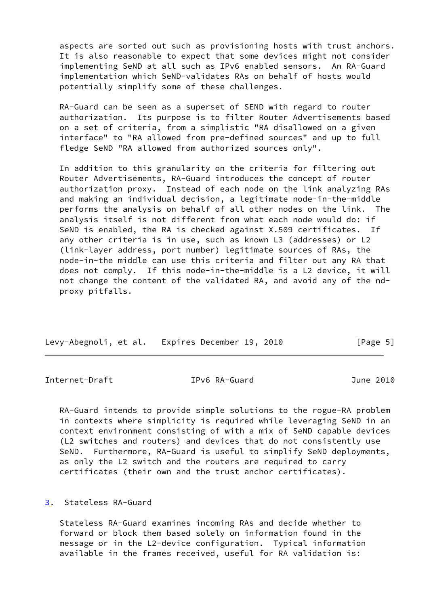aspects are sorted out such as provisioning hosts with trust anchors. It is also reasonable to expect that some devices might not consider implementing SeND at all such as IPv6 enabled sensors. An RA-Guard implementation which SeND-validates RAs on behalf of hosts would potentially simplify some of these challenges.

 RA-Guard can be seen as a superset of SEND with regard to router authorization. Its purpose is to filter Router Advertisements based on a set of criteria, from a simplistic "RA disallowed on a given interface" to "RA allowed from pre-defined sources" and up to full fledge SeND "RA allowed from authorized sources only".

 In addition to this granularity on the criteria for filtering out Router Advertisements, RA-Guard introduces the concept of router authorization proxy. Instead of each node on the link analyzing RAs and making an individual decision, a legitimate node-in-the-middle performs the analysis on behalf of all other nodes on the link. The analysis itself is not different from what each node would do: if SeND is enabled, the RA is checked against X.509 certificates. If any other criteria is in use, such as known L3 (addresses) or L2 (link-layer address, port number) legitimate sources of RAs, the node-in-the middle can use this criteria and filter out any RA that does not comply. If this node-in-the-middle is a L2 device, it will not change the content of the validated RA, and avoid any of the nd proxy pitfalls.

| Levy-Abegnoli, et al. Expires December 19, 2010 |  | [Page 5] |
|-------------------------------------------------|--|----------|
|                                                 |  |          |

<span id="page-5-1"></span>Internet-Draft IPv6 RA-Guard June 2010

 RA-Guard intends to provide simple solutions to the rogue-RA problem in contexts where simplicity is required while leveraging SeND in an context environment consisting of with a mix of SeND capable devices (L2 switches and routers) and devices that do not consistently use SeND. Furthermore, RA-Guard is useful to simplify SeND deployments, as only the L2 switch and the routers are required to carry certificates (their own and the trust anchor certificates).

<span id="page-5-0"></span>[3](#page-5-0). Stateless RA-Guard

 Stateless RA-Guard examines incoming RAs and decide whether to forward or block them based solely on information found in the message or in the L2-device configuration. Typical information available in the frames received, useful for RA validation is: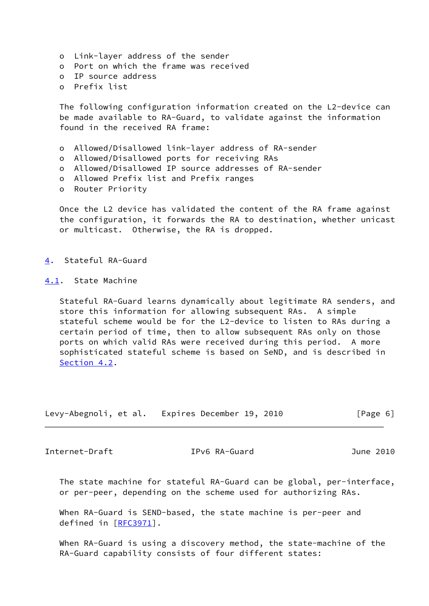- o Link-layer address of the sender
- o Port on which the frame was received
- o IP source address
- o Prefix list

 The following configuration information created on the L2-device can be made available to RA-Guard, to validate against the information found in the received RA frame:

- o Allowed/Disallowed link-layer address of RA-sender
- o Allowed/Disallowed ports for receiving RAs
- o Allowed/Disallowed IP source addresses of RA-sender
- o Allowed Prefix list and Prefix ranges
- o Router Priority

Once the L2 device has validated the content of the RA frame against the configuration, it forwards the RA to destination, whether unicast or multicast. Otherwise, the RA is dropped.

<span id="page-6-0"></span>[4](#page-6-0). Stateful RA-Guard

<span id="page-6-1"></span>[4.1](#page-6-1). State Machine

 Stateful RA-Guard learns dynamically about legitimate RA senders, and store this information for allowing subsequent RAs. A simple stateful scheme would be for the L2-device to listen to RAs during a certain period of time, then to allow subsequent RAs only on those ports on which valid RAs were received during this period. A more sophisticated stateful scheme is based on SeND, and is described in [Section 4.2](#page-7-0).

| Levy-Abegnoli, et al. | Expires December 19, 2010 | [Page 6] |
|-----------------------|---------------------------|----------|
|-----------------------|---------------------------|----------|

<span id="page-6-2"></span>Internet-Draft IPv6 RA-Guard June 2010

 The state machine for stateful RA-Guard can be global, per-interface, or per-peer, depending on the scheme used for authorizing RAs.

 When RA-Guard is SEND-based, the state machine is per-peer and defined in [[RFC3971\]](https://datatracker.ietf.org/doc/pdf/rfc3971).

 When RA-Guard is using a discovery method, the state-machine of the RA-Guard capability consists of four different states: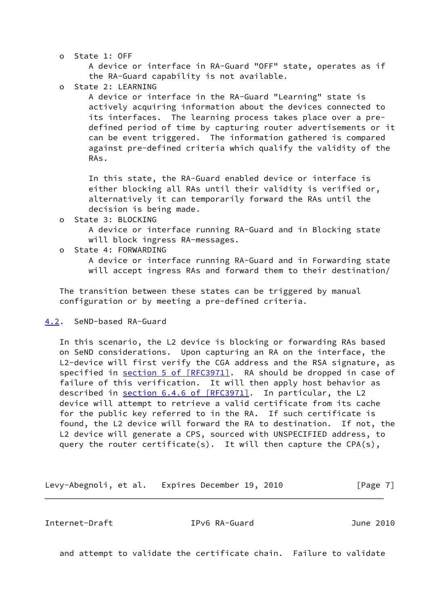o State 1: OFF

 A device or interface in RA-Guard "OFF" state, operates as if the RA-Guard capability is not available.

o State 2: LEARNING

 A device or interface in the RA-Guard "Learning" state is actively acquiring information about the devices connected to its interfaces. The learning process takes place over a pre defined period of time by capturing router advertisements or it can be event triggered. The information gathered is compared against pre-defined criteria which qualify the validity of the RAs.

 In this state, the RA-Guard enabled device or interface is either blocking all RAs until their validity is verified or, alternatively it can temporarily forward the RAs until the decision is being made.

o State 3: BLOCKING

 A device or interface running RA-Guard and in Blocking state will block ingress RA-messages.

o State 4: FORWARDING

 A device or interface running RA-Guard and in Forwarding state will accept ingress RAs and forward them to their destination/

 The transition between these states can be triggered by manual configuration or by meeting a pre-defined criteria.

# <span id="page-7-0"></span>[4.2](#page-7-0). SeND-based RA-Guard

 In this scenario, the L2 device is blocking or forwarding RAs based on SeND considerations. Upon capturing an RA on the interface, the L2-device will first verify the CGA address and the RSA signature, as specified in section [5 of \[RFC3971\]](https://datatracker.ietf.org/doc/pdf/rfc3971#section-5). RA should be dropped in case of failure of this verification. It will then apply host behavior as described in section [6.4.6 of \[RFC3971\].](https://datatracker.ietf.org/doc/pdf/rfc3971#section-6.4.6) In particular, the L2 device will attempt to retrieve a valid certificate from its cache for the public key referred to in the RA. If such certificate is found, the L2 device will forward the RA to destination. If not, the L2 device will generate a CPS, sourced with UNSPECIFIED address, to query the router certificate(s). It will then capture the CPA(s),

Levy-Abegnoli, et al. Expires December 19, 2010 [Page 7]

<span id="page-7-1"></span>Internet-Draft IPv6 RA-Guard June 2010

and attempt to validate the certificate chain. Failure to validate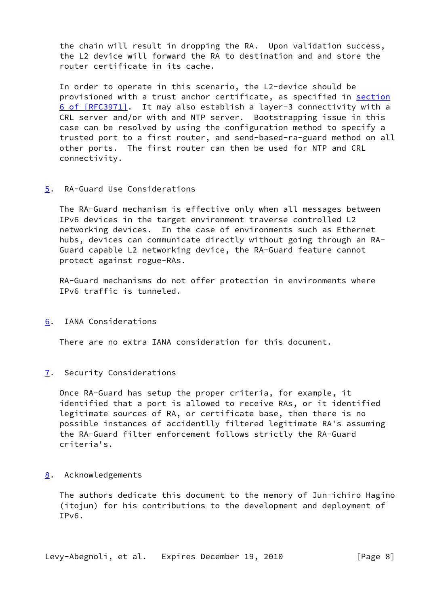the chain will result in dropping the RA. Upon validation success, the L2 device will forward the RA to destination and and store the router certificate in its cache.

 In order to operate in this scenario, the L2-device should be provisioned with a trust anchor certificate, as specified in [section](https://datatracker.ietf.org/doc/pdf/rfc3971#section-6) [6 of \[RFC3971\]](https://datatracker.ietf.org/doc/pdf/rfc3971#section-6). It may also establish a layer-3 connectivity with a CRL server and/or with and NTP server. Bootstrapping issue in this case can be resolved by using the configuration method to specify a trusted port to a first router, and send-based-ra-guard method on all other ports. The first router can then be used for NTP and CRL connectivity.

# <span id="page-8-1"></span>[5](#page-8-1). RA-Guard Use Considerations

 The RA-Guard mechanism is effective only when all messages between IPv6 devices in the target environment traverse controlled L2 networking devices. In the case of environments such as Ethernet hubs, devices can communicate directly without going through an RA- Guard capable L2 networking device, the RA-Guard feature cannot protect against rogue-RAs.

 RA-Guard mechanisms do not offer protection in environments where IPv6 traffic is tunneled.

<span id="page-8-0"></span>[6](#page-8-0). IANA Considerations

There are no extra IANA consideration for this document.

<span id="page-8-2"></span>[7](#page-8-2). Security Considerations

 Once RA-Guard has setup the proper criteria, for example, it identified that a port is allowed to receive RAs, or it identified legitimate sources of RA, or certificate base, then there is no possible instances of accidentlly filtered legitimate RA's assuming the RA-Guard filter enforcement follows strictly the RA-Guard criteria's.

## <span id="page-8-3"></span>[8](#page-8-3). Acknowledgements

 The authors dedicate this document to the memory of Jun-ichiro Hagino (itojun) for his contributions to the development and deployment of IPv6.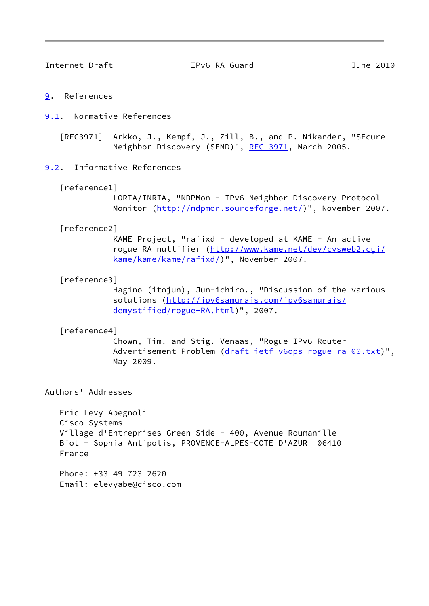<span id="page-9-2"></span>Internet-Draft IPv6 RA-Guard June 2010

#### <span id="page-9-1"></span>[9](#page-9-1). References

## <span id="page-9-3"></span>[9.1](#page-9-3). Normative References

[RFC3971] Arkko, J., Kempf, J., Zill, B., and P. Nikander, "SEcure Neighbor Discovery (SEND)", [RFC 3971,](https://datatracker.ietf.org/doc/pdf/rfc3971) March 2005.

### <span id="page-9-4"></span>[9.2](#page-9-4). Informative References

#### <span id="page-9-5"></span>[reference1]

 LORIA/INRIA, "NDPMon - IPv6 Neighbor Discovery Protocol Monitor (<http://ndpmon.sourceforge.net/>)", November 2007.

#### <span id="page-9-6"></span>[reference2]

 KAME Project, "rafixd - developed at KAME - An active rogue RA nullifier ([http://www.kame.net/dev/cvsweb2.cgi/](http://www.kame.net/dev/cvsweb2.cgi/kame/kame/kame/rafixd/) [kame/kame/kame/rafixd/](http://www.kame.net/dev/cvsweb2.cgi/kame/kame/kame/rafixd/))", November 2007.

#### <span id="page-9-7"></span>[reference3]

 Hagino (itojun), Jun-ichiro., "Discussion of the various solutions [\(http://ipv6samurais.com/ipv6samurais/](http://ipv6samurais.com/ipv6samurais/demystified/rogue-RA.html) [demystified/rogue-RA.html\)](http://ipv6samurais.com/ipv6samurais/demystified/rogue-RA.html)", 2007.

#### <span id="page-9-0"></span>[reference4]

 Chown, Tim. and Stig. Venaas, "Rogue IPv6 Router Advertisement Problem [\(draft-ietf-v6ops-rogue-ra-00.txt](https://datatracker.ietf.org/doc/pdf/draft-ietf-v6ops-rogue-ra-00.txt))", May 2009.

### Authors' Addresses

 Eric Levy Abegnoli Cisco Systems Village d'Entreprises Green Side - 400, Avenue Roumanille Biot - Sophia Antipolis, PROVENCE-ALPES-COTE D'AZUR 06410 France

 Phone: +33 49 723 2620 Email: elevyabe@cisco.com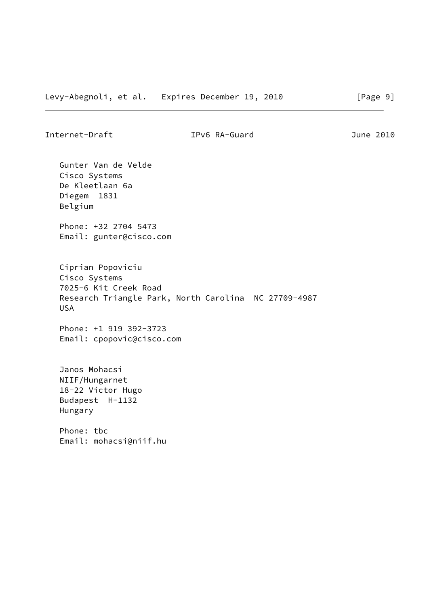Internet-Draft IPv6 RA-Guard June 2010

 Gunter Van de Velde Cisco Systems De Kleetlaan 6a Diegem 1831 Belgium

 Phone: +32 2704 5473 Email: gunter@cisco.com

 Ciprian Popoviciu Cisco Systems 7025-6 Kit Creek Road Research Triangle Park, North Carolina NC 27709-4987 USA

 Phone: +1 919 392-3723 Email: cpopovic@cisco.com

 Janos Mohacsi NIIF/Hungarnet 18-22 Victor Hugo Budapest H-1132 Hungary

 Phone: tbc Email: mohacsi@niif.hu